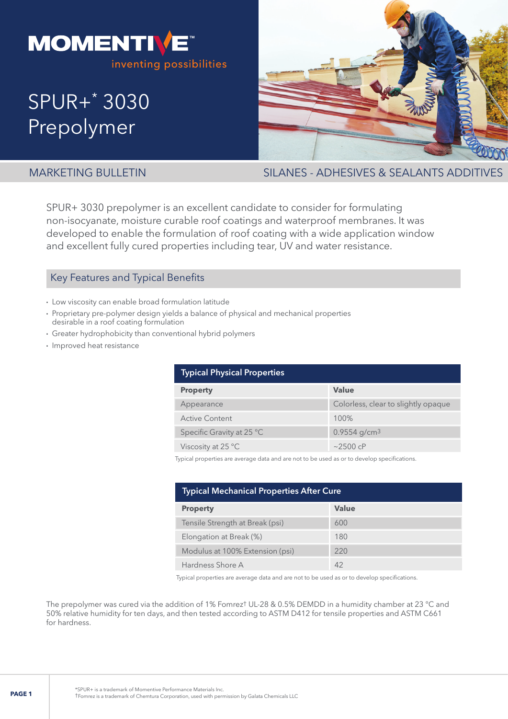

# SPUR+\* 3030 Prepolymer



MARKETING BULLETIN SILANES - ADHESIVES & SEALANTS ADDITIVES

SPUR+ 3030 prepolymer is an excellent candidate to consider for formulating non-isocyanate, moisture curable roof coatings and waterproof membranes. It was developed to enable the formulation of roof coating with a wide application window and excellent fully cured properties including tear, UV and water resistance.

### Key Features and Typical Benefits

- Low viscosity can enable broad formulation latitude
- Proprietary pre-polymer design yields a balance of physical and mechanical properties desirable in a roof coating formulation
- Greater hydrophobicity than conventional hybrid polymers
- Improved heat resistance

| <b>Typical Physical Properties</b> |                                     |  |  |
|------------------------------------|-------------------------------------|--|--|
| <b>Property</b>                    | Value                               |  |  |
| Appearance                         | Colorless, clear to slightly opaque |  |  |
| <b>Active Content</b>              | 100%                                |  |  |
| Specific Gravity at 25 °C          | $0.9554$ g/cm <sup>3</sup>          |  |  |
| Viscosity at 25 $\degree$ C        | $~2500$ cP                          |  |  |

Typical properties are average data and are not to be used as or to develop specifications.

| <b>Typical Mechanical Properties After Cure</b> |       |  |  |
|-------------------------------------------------|-------|--|--|
| <b>Property</b>                                 | Value |  |  |
| Tensile Strength at Break (psi)                 | 600   |  |  |
| Elongation at Break (%)                         | 180   |  |  |
| Modulus at 100% Extension (psi)                 | 220   |  |  |
| Hardness Shore A                                | 42    |  |  |

Typical properties are average data and are not to be used as or to develop specifications.

The prepolymer was cured via the addition of 1% Fomrez† UL-28 & 0.5% DEMDD in a humidity chamber at 23 °C and 50% relative humidity for ten days, and then tested according to ASTM D412 for tensile properties and ASTM C661 for hardness.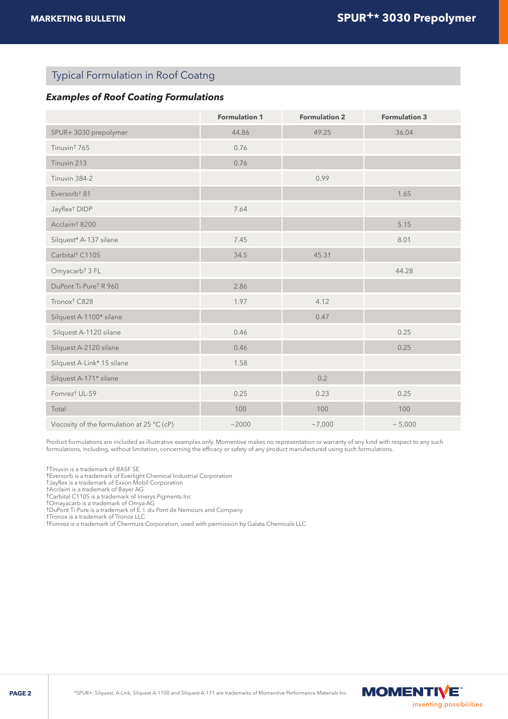# Typical Formulation in Roof Coatng

#### *Examples of Roof Coating Formulations*

|                                            | <b>Formulation 1</b> | <b>Formulation 2</b> | <b>Formulation 3</b> |
|--------------------------------------------|----------------------|----------------------|----------------------|
| SPUR+3030 prepolymer                       | 44.86                | 49.25                | 36.04                |
| Tinuvin <sup>†</sup> 765                   | 0.76                 |                      |                      |
| Tinuvin 213                                | 0.76                 |                      |                      |
| Tinuvin 384-2                              |                      | 0.99                 |                      |
| Eversorb <sup>†</sup> 81                   |                      |                      | 1.65                 |
| Jayflex <sup>†</sup> DIDP                  | 7.64                 |                      |                      |
| Acclaim <sup>†</sup> 8200                  |                      |                      | 5.15                 |
| Silquest* A-137 silane                     | 7.45                 |                      | 8.01                 |
| Carbital <sup>†</sup> C110S                | 34.5                 | 45.31                |                      |
| Omyacarb <sup>†</sup> 3 FL                 |                      |                      | 44.28                |
| DuPont Ti-Pure <sup>†</sup> R 960          | 2.86                 |                      |                      |
| Tronox <sup>†</sup> C828                   | 1.97                 | 4.12                 |                      |
| Silquest A-1100* silane                    |                      | 0.47                 |                      |
| Silquest A-1120 silane                     | 0.46                 |                      | 0.25                 |
| Silquest A-2120 silane                     | 0.46                 |                      | 0.25                 |
| Silquest A-Link* 15 silane                 | 1.58                 |                      |                      |
| Silquest A-171* silane                     |                      | 0.2                  |                      |
| Fomrez <sup>†</sup> UL-59                  | 0.25                 | 0.23                 | 0.25                 |
| Total                                      | 100                  | 100                  | 100                  |
| Viscosity of the formulation at 25 °C (cP) | ~2000                | ~17,000              | ~5,000               |

Product formulations are included as illustrative examples only. Momentive makes no representation or warranty of any kind with respect to any such formulations, including, without limitation, concerning the efficacy or safety of any product manufactured using such formulations.

†Tinuvin is a trademark of BASF SE

†Eversorb is a trademark of Everlight Chemical Industrial Corporation

†Jayflex is a trademark of Exxon Mobil Corporation

†Acclaim is a trademark of Bayer AG

†Carbital C110S is a trademark of Imerys Pigments Inc †Omayacarb is a trademark of Omya AG

†DuPont Ti-Pure is a trademark of E. I. du Pont de Nemours and Company

†Tronox is a trademark of Tronox LLC

†Fomrez is a trademark of Chemtura Corporation, used with permission by Galata Chemicals LLC

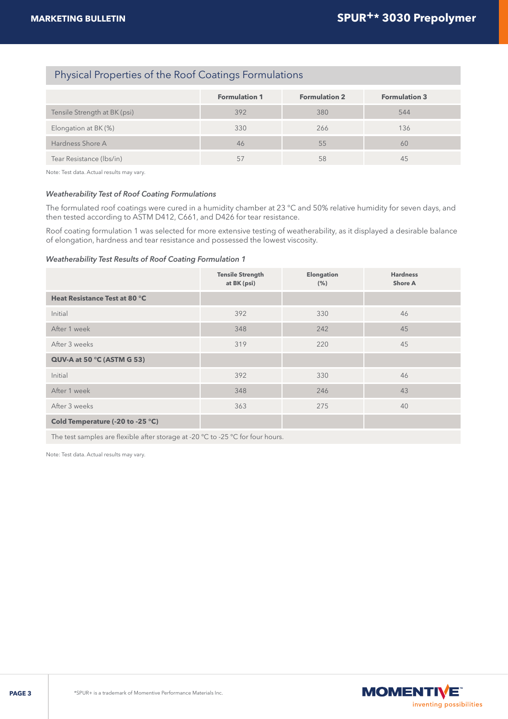## Physical Properties of the Roof Coatings Formulations

|                              | <b>Formulation 1</b> | <b>Formulation 2</b> | <b>Formulation 3</b> |
|------------------------------|----------------------|----------------------|----------------------|
| Tensile Strength at BK (psi) | 392                  | 380                  | 544                  |
| Elongation at BK (%)         | 330                  | 266                  | 136                  |
| Hardness Shore A             | 46                   | 55                   | 60                   |
| Tear Resistance (Ibs/in)     | 57                   | 58                   | 45                   |

Note: Test data. Actual results may vary.

#### *Weatherability Test of Roof Coating Formulations*

The formulated roof coatings were cured in a humidity chamber at 23 °C and 50% relative humidity for seven days, and then tested according to ASTM D412, C661, and D426 for tear resistance.

Roof coating formulation 1 was selected for more extensive testing of weatherability, as it displayed a desirable balance of elongation, hardness and tear resistance and possessed the lowest viscosity.

#### *Weatherability Test Results of Roof Coating Formulation 1*

|                                  | <b>Tensile Strength</b><br>at BK (psi) | <b>Elongation</b><br>(% ) | <b>Hardness</b><br><b>Shore A</b> |
|----------------------------------|----------------------------------------|---------------------------|-----------------------------------|
| Heat Resistance Test at 80 °C    |                                        |                           |                                   |
| Initial                          | 392                                    | 330                       | 46                                |
| After 1 week                     | 348                                    | 242                       | 45                                |
| After 3 weeks                    | 319                                    | 220                       | 45                                |
| QUV-A at 50 °C (ASTM G 53)       |                                        |                           |                                   |
| Initial                          | 392                                    | 330                       | 46                                |
| After 1 week                     | 348                                    | 246                       | 43                                |
| After 3 weeks                    | 363                                    | 275                       | 40                                |
| Cold Temperature (-20 to -25 °C) |                                        |                           |                                   |

The test samples are flexible after storage at -20 °C to -25 °C for four hours.

Note: Test data. Actual results may vary.